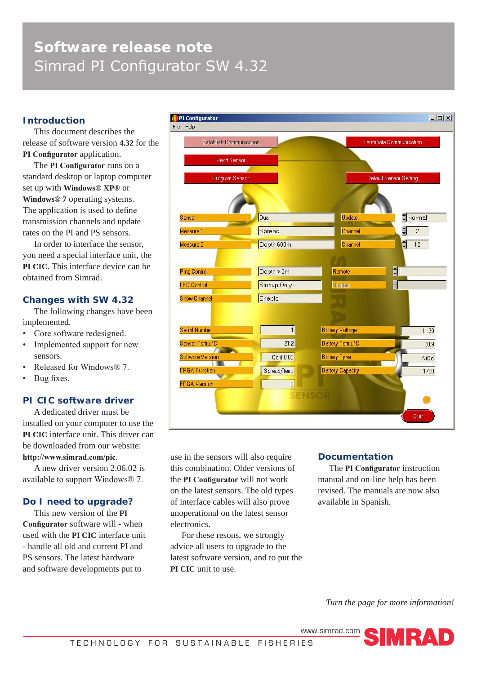# **Software release note** Simrad PI Configurator SW 4.32

# **Introduction**

This document describes the release of software version **4.32** for the **PI Configurator** application.

The **PI Configurator** runs on a standard desktop or laptop computer set up with **Windows® XP®** or **Windows® 7** operating systems. The application is used to define transmission channels and update rates on the PI and PS sensors.

In order to interface the sensor, you need a special interface unit, the **PI CIC**. This interface device can be obtained from Simrad.

## **Changes with SW 4.32**

The following changes have been implemented.

- Core software redesigned.
- Implemented support for new sensors.
- Released for Windows® 7.
- Bug fixes.

# **PI CIC software driver**

A dedicated driver must be installed on your computer to use the **PI CIC** interface unit. This driver can be downloaded from our website: **http://www.simrad.com/pic**.

A new driver version 2.06.02 is available to support Windows® 7.

## **Do I need to upgrade?**

This new version of the **PI Configurator** software will - when used with the **PI CIC** interface unit - handle all old and current PI and PS sensors. The latest hardware and software developments put to



use in the sensors will also require this combination. Older versions of the **PI Configurator** will not work on the latest sensors. The old types of interface cables will also prove unoperational on the latest sensor electronics.

For these resons, we strongly advice all users to upgrade to the latest software version, and to put the **PI CIC** unit to use.

## **Documentation**

The **PI Configurator** instruction manual and on-line help has been revised. The manuals are now also available in Spanish.

*Turn the page for more information!*

www.simrad.com